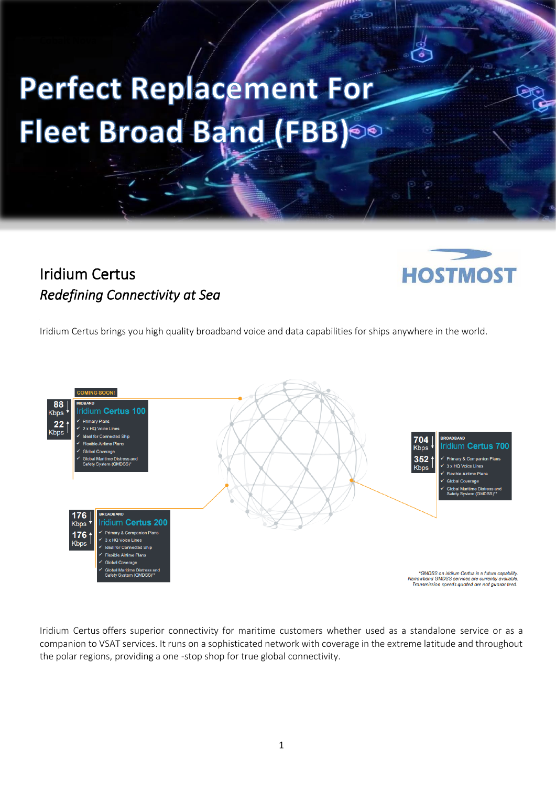## Perfect Replacement For Fleet Broad Band (FBB)

## Iridium Certus *Redefining Connectivity at Sea*

l



Iridium Certus brings you high quality broadband voice and data capabilities for ships anywhere in the world.



Iridium Certus offers superior connectivity for maritime customers whether used as a standalone service or as a companion to VSAT services. It runs on a sophisticated network with coverage in the extreme latitude and throughout the polar regions, providing a one -stop shop for true global connectivity.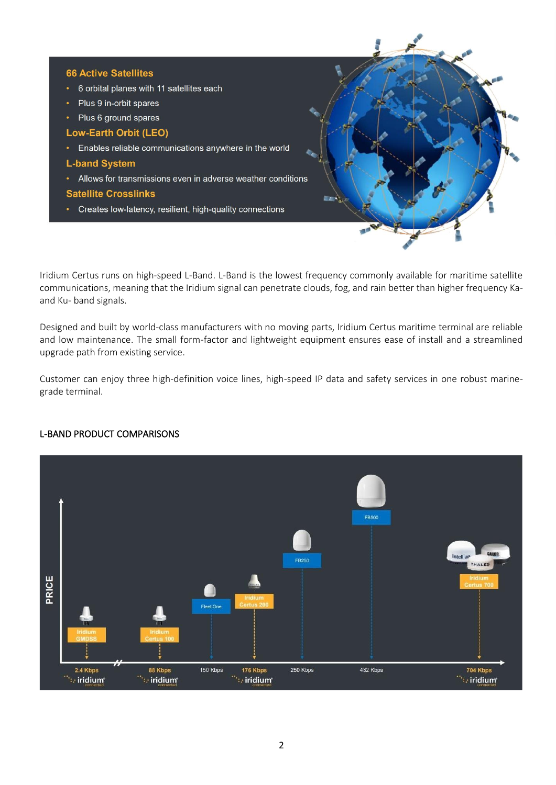

Iridium Certus runs on high-speed L-Band. L-Band is the lowest frequency commonly available for maritime satellite communications, meaning that the Iridium signal can penetrate clouds, fog, and rain better than higher frequency Kaand Ku- band signals.

Designed and built by world-class manufacturers with no moving parts, Iridium Certus maritime terminal are reliable and low maintenance. The small form-factor and lightweight equipment ensures ease of install and a streamlined upgrade path from existing service.

Customer can enjoy three high-definition voice lines, high-speed IP data and safety services in one robust marinegrade terminal.

## L-BAND PRODUCT COMPARISONS